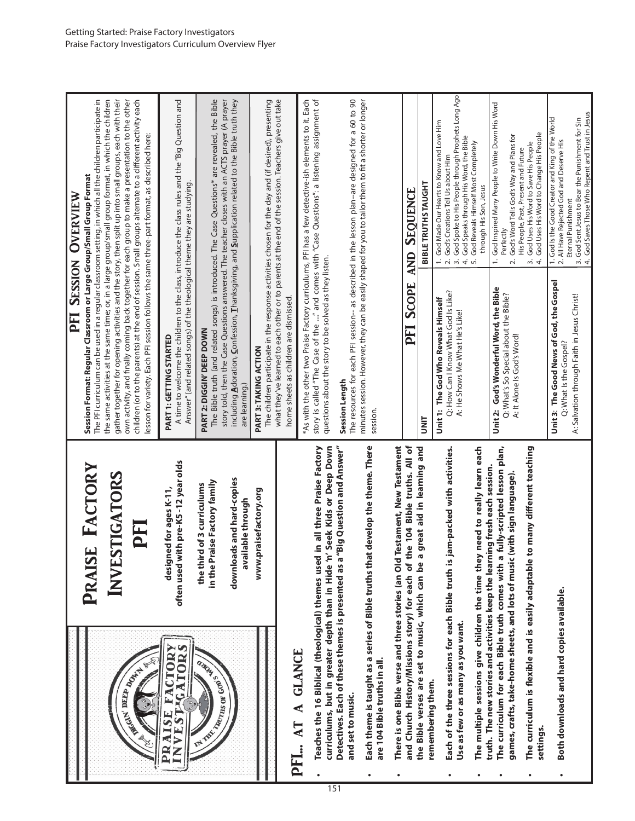|           |                                                                                                                                 |                                                                                                                                                                                        |                                                                                                                                                                                                                                                                                                                     | <b>PFI SESSION OVERVIEW</b>                                                                                                                                                                                                |
|-----------|---------------------------------------------------------------------------------------------------------------------------------|----------------------------------------------------------------------------------------------------------------------------------------------------------------------------------------|---------------------------------------------------------------------------------------------------------------------------------------------------------------------------------------------------------------------------------------------------------------------------------------------------------------------|----------------------------------------------------------------------------------------------------------------------------------------------------------------------------------------------------------------------------|
|           |                                                                                                                                 | PRAISE FACTORY                                                                                                                                                                         | The PFI curriculum can be used in a regular classroom setting, in which all the children participate in<br>Session Format: Regular Classroom or Large Group/Small Group Format                                                                                                                                      |                                                                                                                                                                                                                            |
|           |                                                                                                                                 | INVESTIGATORS                                                                                                                                                                          | the same activities at the same time; or, in a large group/small group format, in which the children<br>gather together for opening activities and the story, then split up into small groups, each with their<br>own activity, and finally coming back together for each group to make a presentation to the other |                                                                                                                                                                                                                            |
|           | <b>CARL BERRY AVERE</b>                                                                                                         | PFI                                                                                                                                                                                    | $\,$ children (or to the parents) at the end of session. Small groups alternate to a different activity each<br>lesson for variety. Each PFI session follows the same three-part format, as described here:                                                                                                         |                                                                                                                                                                                                                            |
|           | <b>EGATORS</b><br><b>FACTORY</b><br><b>AISE</b><br>VEST                                                                         | often used with pre-K5-12 year olds<br>designed for ages K-11,                                                                                                                         | Answer" (and related songs) of the theological theme they are studying.<br>PART 1: GETTING STARTED                                                                                                                                                                                                                  | A time to welcome the children to the class, introduce the class rules and the "Big Question and                                                                                                                           |
|           | AS ASSESSMENT RESIDENCE                                                                                                         | in the Praise Factory family<br>the third of 3 curriculums                                                                                                                             | PART 2: DIGGIN' DEEP DOWN                                                                                                                                                                                                                                                                                           | The Bible truth (and related songs) is introduced. The Case Questions* are revealed, the Bible<br>story told, then the Case Questions answered. The teacher closes with an ACTS prayer (A prayer                           |
|           |                                                                                                                                 | downloads and hard-copies<br>available through                                                                                                                                         | are learning.)                                                                                                                                                                                                                                                                                                      | including Adoration, Confession, Thanksgiving, and Supplication related to the Bible truth they                                                                                                                            |
|           |                                                                                                                                 | praisefactory.org<br>www.j                                                                                                                                                             | PART 3: TAKING ACTION                                                                                                                                                                                                                                                                                               | The children participate in the response activities chosen for the day and (if desired), presenting                                                                                                                        |
|           | Eq                                                                                                                              |                                                                                                                                                                                        | home sheets as children are dismissed.                                                                                                                                                                                                                                                                              | what they've learned to each other or to parents at the end of the session. Teachers give out take                                                                                                                         |
|           | Teaches the 16 Biblical (theological) themes used<br>curriculums, but in greater depth than in Hide 'n'<br>$\ldots$ AT A GLANCE | Seek Kids or Deep Down<br>in all three Praise Factory                                                                                                                                  | story is called "The Case of the " and comes with "Case Questions": a listening assignment of<br>*As with the other two Praise Factory curriculums, PFI has a few detective-ish elements to it. Each<br>questions about the story to be solved as they listen.                                                      |                                                                                                                                                                                                                            |
| 151       | Detectives. Each of these themes is presented as a'<br>and set to music.                                                        | "Big Question and Answer"                                                                                                                                                              | Session Length                                                                                                                                                                                                                                                                                                      | The resources for each PFI session-- as described in the lesson plan--are designed for a 60 to 90                                                                                                                          |
|           | are 104 Bible truths in all.                                                                                                    | Each theme is taught as a series of Bible truths that develop the theme. There                                                                                                         | minutes session. However, they can be easily shaped for you to tailor them to fit a shorter or longer<br>session.                                                                                                                                                                                                   |                                                                                                                                                                                                                            |
|           |                                                                                                                                 | There is one Bible verse and three stories (an Old Testament, New Testament                                                                                                            |                                                                                                                                                                                                                                                                                                                     |                                                                                                                                                                                                                            |
|           | the Bible verses are set to music, which can be a                                                                               | and Church History/Missions story) for each of the 104 Bible truths. All of<br>great aid in learning and                                                                               | <b>SCOPE</b><br>PFI                                                                                                                                                                                                                                                                                                 | <b>SEQUENCE</b><br><b>AND</b>                                                                                                                                                                                              |
|           | remembering them.                                                                                                               |                                                                                                                                                                                        | <b>TINL</b>                                                                                                                                                                                                                                                                                                         | <b>BIBLE TRUTHS TAUGHT</b>                                                                                                                                                                                                 |
|           | Use as few or as many as you want.                                                                                              | Each of the three sessions for each Bible truth is jam-packed with activities                                                                                                          | Q: How Can I Know What God Is Like?<br>Unit 1: The God Who Reveals Himself<br>A: He Shows Me What He's Like!                                                                                                                                                                                                        | God Spoke to His People through Prophets Long Ago<br>God Made Our Hearts to Know and Love Him<br>God Speaks through His Word, the Bible<br>God's Creations Tell Us about Him<br>$ \sim$ $\sim$<br>4. r.                    |
|           | The multiple sessions give children the time they                                                                               | need to really learn each                                                                                                                                                              |                                                                                                                                                                                                                                                                                                                     | God Reveals Himself Most Completely<br>through His Son, Jesus                                                                                                                                                              |
|           | The curriculum for each Bible truth comes with a                                                                                | fully-scripted lesson plan,<br>truth. The new stories and activities keep the learning fresh each session.<br>games, crafts, take-home sheets, and lots of music (with sign language). | Unit 2: God's Wonderful Word, the Bible<br>Q: What's So Special about the Bible?<br>A: It Alone Is God's Word!                                                                                                                                                                                                      | God Inspired Many People to Write Down His Word<br>God's Word Tells God's Way and Plans for<br>Perfectly<br>$\overline{\mathcal{N}}$<br>$\dot{ }$                                                                          |
|           | settings.                                                                                                                       | The curriculum is flexible and is easily adaptable to many different teaching                                                                                                          |                                                                                                                                                                                                                                                                                                                     | God Uses His Word to Change His People<br>God Uses His Word to Save His People<br>His People, Past, Present and Future<br>$\sim$<br>4.                                                                                     |
| $\bullet$ | Both downloads and hard copies available.                                                                                       |                                                                                                                                                                                        | Unit 3: The Good News of God, the Gospel<br>A: Salvation through Faith in Jesus Christ!<br>Q: What Is the Gospel?                                                                                                                                                                                                   | 3. God Sent Jesus to Bear the Punishment for Sin<br>4. God Saves Those Who Repent and Trust in Jesus<br>1. God Is the Good Creator and King of the World<br>2. All Have Rejected God and Deserve His<br>Eternal Punishment |